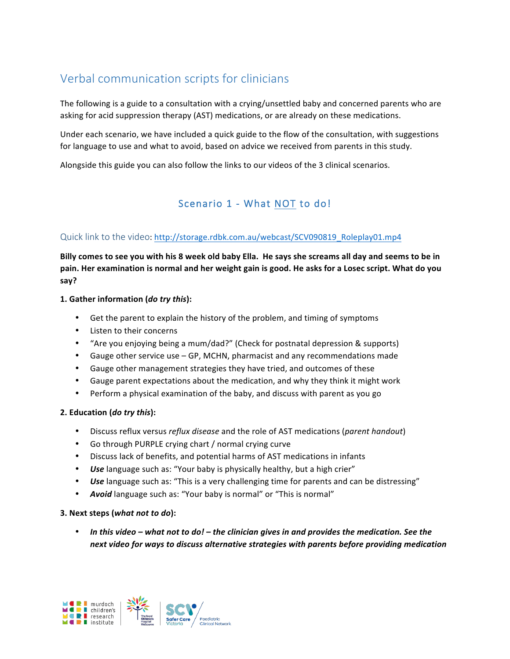# Verbal communication scripts for clinicians

The following is a guide to a consultation with a crying/unsettled baby and concerned parents who are asking for acid suppression therapy (AST) medications, or are already on these medications.

Under each scenario, we have included a quick guide to the flow of the consultation, with suggestions for language to use and what to avoid, based on advice we received from parents in this study.

Alongside this guide you can also follow the links to our videos of the 3 clinical scenarios.

## Scenario 1 - What NOT to do!

### Quick link to the video: http://storage.rdbk.com.au/webcast/SCV090819\_Roleplay01.mp4

Billy comes to see you with his 8 week old baby Ella. He says she screams all day and seems to be in pain. Her examination is normal and her weight gain is good. He asks for a Losec script. What do you **say?**

#### **1.** Gather information (*do try this*):

- Get the parent to explain the history of the problem, and timing of symptoms
- Listen to their concerns
- "Are you enjoying being a mum/dad?" (Check for postnatal depression & supports)
- Gauge other service use GP, MCHN, pharmacist and any recommendations made
- Gauge other management strategies they have tried, and outcomes of these
- Gauge parent expectations about the medication, and why they think it might work
- Perform a physical examination of the baby, and discuss with parent as you go

#### **2. Education (***do try this***):**

- Discuss reflux versus *reflux disease* and the role of AST medications (*parent handout*)
- Go through PURPLE crying chart / normal crying curve
- Discuss lack of benefits, and potential harms of AST medications in infants
- Use language such as: "Your baby is physically healthy, but a high crier"
- *Use* language such as: "This is a very challenging time for parents and can be distressing"
- Avoid language such as: "Your baby is normal" or "This is normal"

#### **3. Next steps (***what not to do***):**

• In this video – what not to do! – the clinician gives in and provides the medication. See the next video for ways to discuss alternative strategies with parents before providing medication

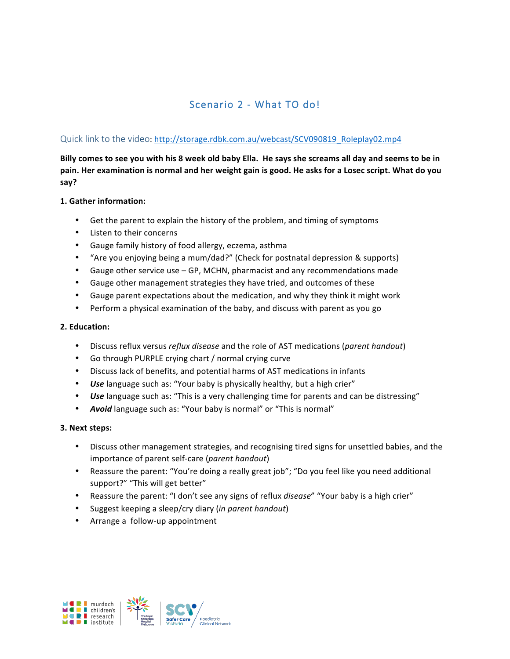# Scenario 2 - What TO do!

### Quick link to the video: http://storage.rdbk.com.au/webcast/SCV090819\_Roleplay02.mp4

Billy comes to see you with his 8 week old baby Ella. He says she screams all day and seems to be in pain. Her examination is normal and her weight gain is good. He asks for a Losec script. What do you **say?**

#### **1. Gather information:**

- Get the parent to explain the history of the problem, and timing of symptoms
- Listen to their concerns
- Gauge family history of food allergy, eczema, asthma
- "Are you enjoying being a mum/dad?" (Check for postnatal depression & supports)
- Gauge other service use GP, MCHN, pharmacist and any recommendations made
- Gauge other management strategies they have tried, and outcomes of these
- Gauge parent expectations about the medication, and why they think it might work
- Perform a physical examination of the baby, and discuss with parent as you go

#### **2. Education:**

- Discuss reflux versus *reflux disease* and the role of AST medications (*parent handout*)
- Go through PURPLE crying chart / normal crying curve
- Discuss lack of benefits, and potential harms of AST medications in infants
- Use language such as: "Your baby is physically healthy, but a high crier"
- **Use** language such as: "This is a very challenging time for parents and can be distressing"
- Avoid language such as: "Your baby is normal" or "This is normal"

#### **3. Next steps:**

- Discuss other management strategies, and recognising tired signs for unsettled babies, and the importance of parent self-care (*parent handout*)
- Reassure the parent: "You're doing a really great job"; "Do you feel like you need additional support?" "This will get better"
- Reassure the parent: "I don't see any signs of reflux *disease"* "Your baby is a high crier"
- Suggest keeping a sleep/cry diary (*in parent handout*)
- Arrange a follow-up appointment